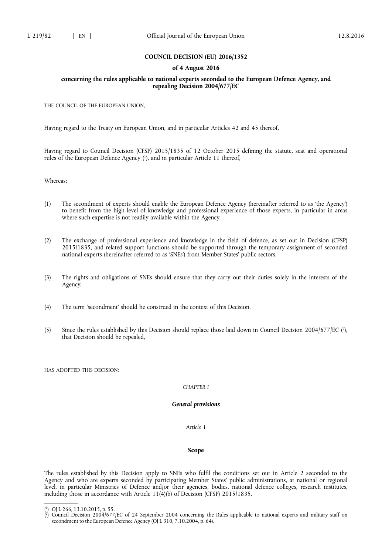### **COUNCIL DECISION (EU) 2016/1352**

### **of 4 August 2016**

## **concerning the rules applicable to national experts seconded to the European Defence Agency, and repealing Decision 2004/677/EC**

THE COUNCIL OF THE EUROPEAN UNION,

Having regard to the Treaty on European Union, and in particular Articles 42 and 45 thereof,

Having regard to Council Decision (CFSP) 2015/1835 of 12 October 2015 defining the statute, seat and operational rules of the European Defence Agency ( 1 ), and in particular Article 11 thereof,

Whereas:

- (1) The secondment of experts should enable the European Defence Agency (hereinafter referred to as 'the Agency') to benefit from the high level of knowledge and professional experience of those experts, in particular in areas where such expertise is not readily available within the Agency.
- (2) The exchange of professional experience and knowledge in the field of defence, as set out in Decision (CFSP) 2015/1835, and related support functions should be supported through the temporary assignment of seconded national experts (hereinafter referred to as 'SNEs') from Member States' public sectors.
- (3) The rights and obligations of SNEs should ensure that they carry out their duties solely in the interests of the Agency.
- (4) The term 'secondment' should be construed in the context of this Decision.
- (5) Since the rules established by this Decision should replace those laid down in Council Decision 2004/677/EC ( 2 ), that Decision should be repealed,

HAS ADOPTED THIS DECISION:

# *CHAPTER I*

#### *General provisions*

*Article 1* 

## **Scope**

The rules established by this Decision apply to SNEs who fulfil the conditions set out in Article 2 seconded to the Agency and who are experts seconded by participating Member States' public administrations, at national or regional level, in particular Ministries of Defence and/or their agencies, bodies, national defence colleges, research institutes, including those in accordance with Article 11(4)(b) of Decision (CFSP) 2015/1835.

<sup>(</sup> 1 ) OJ L 266, 13.10.2015, p. 55.

<sup>(</sup> 2 ) Council Decision 2004/677/EC of 24 September 2004 concerning the Rules applicable to national experts and military staff on secondment to the European Defence Agency (OJ L 310, 7.10.2004, p. 64).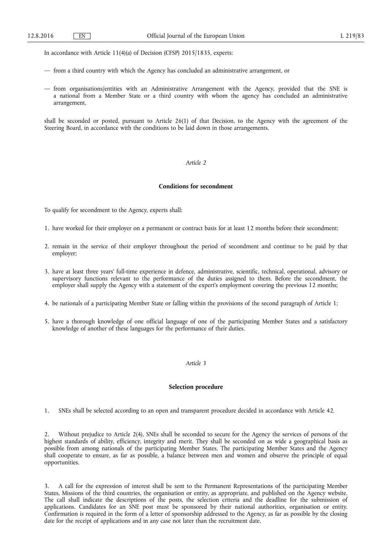In accordance with Article 11(4)(a) of Decision (CFSP) 2015/1835, experts:

- from a third country with which the Agency has concluded an administrative arrangement, or
- from organisations/entities with an Administrative Arrangement with the Agency, provided that the SNE is a national from a Member State or a third country with whom the agency has concluded an administrative arrangement,

shall be seconded or posted, pursuant to Article 26(1) of that Decision, to the Agency with the agreement of the Steering Board, in accordance with the conditions to be laid down in those arrangements.

## *Article 2*

### **Conditions for secondment**

To qualify for secondment to the Agency, experts shall:

- 1. have worked for their employer on a permanent or contract basis for at least 12 months before their secondment;
- 2. remain in the service of their employer throughout the period of secondment and continue to be paid by that employer;
- 3. have at least three years' full-time experience in defence, administrative, scientific, technical, operational, advisory or supervisory functions relevant to the performance of the duties assigned to them. Before the secondment, the employer shall supply the Agency with a statement of the expert's employment covering the previous 12 months;
- 4. be nationals of a participating Member State or falling within the provisions of the second paragraph of Article 1;
- 5. have a thorough knowledge of one official language of one of the participating Member States and a satisfactory knowledge of another of these languages for the performance of their duties.

### *Article 3*

### **Selection procedure**

1. SNEs shall be selected according to an open and transparent procedure decided in accordance with Article 42.

2. Without prejudice to Article 2(4), SNEs shall be seconded to secure for the Agency the services of persons of the highest standards of ability, efficiency, integrity and merit. They shall be seconded on as wide a geographical basis as possible from among nationals of the participating Member States. The participating Member States and the Agency shall cooperate to ensure, as far as possible, a balance between men and women and observe the principle of equal opportunities.

3. A call for the expression of interest shall be sent to the Permanent Representations of the participating Member States, Missions of the third countries, the organisation or entity, as appropriate, and published on the Agency website. The call shall indicate the descriptions of the posts, the selection criteria and the deadline for the submission of applications. Candidates for an SNE post must be sponsored by their national authorities, organisation or entity. Confirmation is required in the form of a letter of sponsorship addressed to the Agency, as far as possible by the closing date for the receipt of applications and in any case not later than the recruitment date.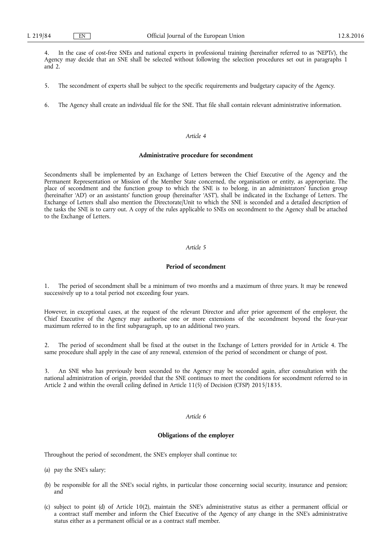4. In the case of cost-free SNEs and national experts in professional training (hereinafter referred to as 'NEPTs'), the Agency may decide that an SNE shall be selected without following the selection procedures set out in paragraphs 1 and 2.

- 5. The secondment of experts shall be subject to the specific requirements and budgetary capacity of the Agency.
- 6. The Agency shall create an individual file for the SNE. That file shall contain relevant administrative information.

#### *Article 4*

### **Administrative procedure for secondment**

Secondments shall be implemented by an Exchange of Letters between the Chief Executive of the Agency and the Permanent Representation or Mission of the Member State concerned, the organisation or entity, as appropriate. The place of secondment and the function group to which the SNE is to belong, in an administrators' function group (hereinafter 'AD') or an assistants' function group (hereinafter 'AST'), shall be indicated in the Exchange of Letters. The Exchange of Letters shall also mention the Directorate/Unit to which the SNE is seconded and a detailed description of the tasks the SNE is to carry out. A copy of the rules applicable to SNEs on secondment to the Agency shall be attached to the Exchange of Letters.

### *Article 5*

# **Period of secondment**

1. The period of secondment shall be a minimum of two months and a maximum of three years. It may be renewed successively up to a total period not exceeding four years.

However, in exceptional cases, at the request of the relevant Director and after prior agreement of the employer, the Chief Executive of the Agency may authorise one or more extensions of the secondment beyond the four-year maximum referred to in the first subparagraph, up to an additional two years.

2. The period of secondment shall be fixed at the outset in the Exchange of Letters provided for in Article 4. The same procedure shall apply in the case of any renewal, extension of the period of secondment or change of post.

3. An SNE who has previously been seconded to the Agency may be seconded again, after consultation with the national administration of origin, provided that the SNE continues to meet the conditions for secondment referred to in Article 2 and within the overall ceiling defined in Article 11(5) of Decision (CFSP) 2015/1835.

### *Article 6*

# **Obligations of the employer**

Throughout the period of secondment, the SNE's employer shall continue to:

- (a) pay the SNE's salary;
- (b) be responsible for all the SNE's social rights, in particular those concerning social security, insurance and pension; and
- (c) subject to point (d) of Article 10(2), maintain the SNE's administrative status as either a permanent official or a contract staff member and inform the Chief Executive of the Agency of any change in the SNE's administrative status either as a permanent official or as a contract staff member.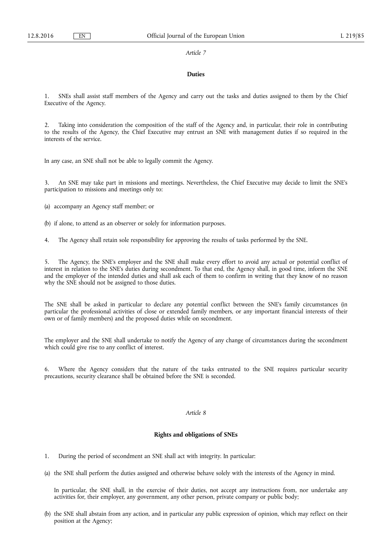### **Duties**

1. SNEs shall assist staff members of the Agency and carry out the tasks and duties assigned to them by the Chief Executive of the Agency.

2. Taking into consideration the composition of the staff of the Agency and, in particular, their role in contributing to the results of the Agency, the Chief Executive may entrust an SNE with management duties if so required in the interests of the service.

In any case, an SNE shall not be able to legally commit the Agency.

3. An SNE may take part in missions and meetings. Nevertheless, the Chief Executive may decide to limit the SNE's participation to missions and meetings only to:

(a) accompany an Agency staff member; or

- (b) if alone, to attend as an observer or solely for information purposes.
- 4. The Agency shall retain sole responsibility for approving the results of tasks performed by the SNE.

5. The Agency, the SNE's employer and the SNE shall make every effort to avoid any actual or potential conflict of interest in relation to the SNE's duties during secondment. To that end, the Agency shall, in good time, inform the SNE and the employer of the intended duties and shall ask each of them to confirm in writing that they know of no reason why the SNE should not be assigned to those duties.

The SNE shall be asked in particular to declare any potential conflict between the SNE's family circumstances (in particular the professional activities of close or extended family members, or any important financial interests of their own or of family members) and the proposed duties while on secondment.

The employer and the SNE shall undertake to notify the Agency of any change of circumstances during the secondment which could give rise to any conflict of interest.

6. Where the Agency considers that the nature of the tasks entrusted to the SNE requires particular security precautions, security clearance shall be obtained before the SNE is seconded.

### *Article 8*

## **Rights and obligations of SNEs**

- 1. During the period of secondment an SNE shall act with integrity. In particular:
- (a) the SNE shall perform the duties assigned and otherwise behave solely with the interests of the Agency in mind.

In particular, the SNE shall, in the exercise of their duties, not accept any instructions from, nor undertake any activities for, their employer, any government, any other person, private company or public body;

(b) the SNE shall abstain from any action, and in particular any public expression of opinion, which may reflect on their position at the Agency;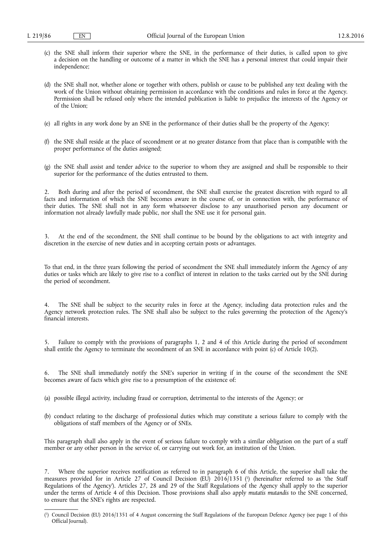- (c) the SNE shall inform their superior where the SNE, in the performance of their duties, is called upon to give a decision on the handling or outcome of a matter in which the SNE has a personal interest that could impair their independence;
- (d) the SNE shall not, whether alone or together with others, publish or cause to be published any text dealing with the work of the Union without obtaining permission in accordance with the conditions and rules in force at the Agency. Permission shall be refused only where the intended publication is liable to prejudice the interests of the Agency or of the Union;
- (e) all rights in any work done by an SNE in the performance of their duties shall be the property of the Agency;
- (f) the SNE shall reside at the place of secondment or at no greater distance from that place than is compatible with the proper performance of the duties assigned;
- (g) the SNE shall assist and tender advice to the superior to whom they are assigned and shall be responsible to their superior for the performance of the duties entrusted to them.

2. Both during and after the period of secondment, the SNE shall exercise the greatest discretion with regard to all facts and information of which the SNE becomes aware in the course of, or in connection with, the performance of their duties. The SNE shall not in any form whatsoever disclose to any unauthorised person any document or information not already lawfully made public, nor shall the SNE use it for personal gain.

3. At the end of the secondment, the SNE shall continue to be bound by the obligations to act with integrity and discretion in the exercise of new duties and in accepting certain posts or advantages.

To that end, in the three years following the period of secondment the SNE shall immediately inform the Agency of any duties or tasks which are likely to give rise to a conflict of interest in relation to the tasks carried out by the SNE during the period of secondment.

The SNE shall be subject to the security rules in force at the Agency, including data protection rules and the Agency network protection rules. The SNE shall also be subject to the rules governing the protection of the Agency's financial interests.

5. Failure to comply with the provisions of paragraphs 1, 2 and 4 of this Article during the period of secondment shall entitle the Agency to terminate the secondment of an SNE in accordance with point (c) of Article 10(2).

6. The SNE shall immediately notify the SNE's superior in writing if in the course of the secondment the SNE becomes aware of facts which give rise to a presumption of the existence of:

- (a) possible illegal activity, including fraud or corruption, detrimental to the interests of the Agency; or
- (b) conduct relating to the discharge of professional duties which may constitute a serious failure to comply with the obligations of staff members of the Agency or of SNEs.

This paragraph shall also apply in the event of serious failure to comply with a similar obligation on the part of a staff member or any other person in the service of, or carrying out work for, an institution of the Union.

7. Where the superior receives notification as referred to in paragraph 6 of this Article, the superior shall take the measures provided for in Article 27 of Council Decision (EU) 2016/1351 ( 1 ) (hereinafter referred to as 'the Staff Regulations of the Agency'). Articles 27, 28 and 29 of the Staff Regulations of the Agency shall apply to the superior under the terms of Article 4 of this Decision. Those provisions shall also apply *mutatis mutandis* to the SNE concerned, to ensure that the SNE's rights are respected.

<sup>(</sup> 1 ) Council Decision (EU) 2016/1351 of 4 August concerning the Staff Regulations of the European Defence Agency (see page 1 of this Official Journal).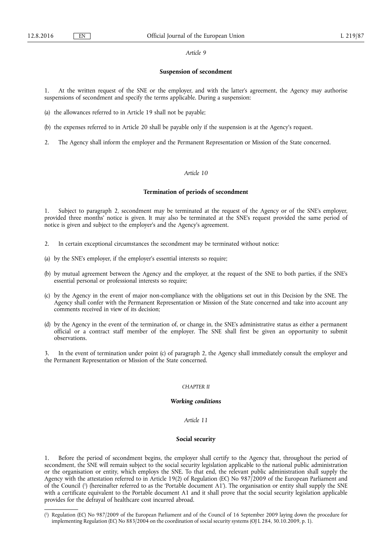#### **Suspension of secondment**

At the written request of the SNE or the employer, and with the latter's agreement, the Agency may authorise suspensions of secondment and specify the terms applicable. During a suspension:

- (a) the allowances referred to in Article 19 shall not be payable;
- (b) the expenses referred to in Article 20 shall be payable only if the suspension is at the Agency's request.
- 2. The Agency shall inform the employer and the Permanent Representation or Mission of the State concerned.

### *Article 10*

### **Termination of periods of secondment**

1. Subject to paragraph 2, secondment may be terminated at the request of the Agency or of the SNE's employer, provided three months' notice is given. It may also be terminated at the SNE's request provided the same period of notice is given and subject to the employer's and the Agency's agreement.

- 2. In certain exceptional circumstances the secondment may be terminated without notice:
- (a) by the SNE's employer, if the employer's essential interests so require;
- (b) by mutual agreement between the Agency and the employer, at the request of the SNE to both parties, if the SNE's essential personal or professional interests so require;
- (c) by the Agency in the event of major non-compliance with the obligations set out in this Decision by the SNE. The Agency shall confer with the Permanent Representation or Mission of the State concerned and take into account any comments received in view of its decision;
- (d) by the Agency in the event of the termination of, or change in, the SNE's administrative status as either a permanent official or a contract staff member of the employer. The SNE shall first be given an opportunity to submit observations.

In the event of termination under point (c) of paragraph 2, the Agency shall immediately consult the employer and the Permanent Representation or Mission of the State concerned.

### *CHAPTER II*

### *Working conditions*

### *Article 11*

#### **Social security**

1. Before the period of secondment begins, the employer shall certify to the Agency that, throughout the period of secondment, the SNE will remain subject to the social security legislation applicable to the national public administration or the organisation or entity, which employs the SNE. To that end, the relevant public administration shall supply the Agency with the attestation referred to in Article 19(2) of Regulation (EC) No 987/2009 of the European Parliament and of the Council ( 1 ) (hereinafter referred to as the 'Portable document A1'). The organisation or entity shall supply the SNE with a certificate equivalent to the Portable document A1 and it shall prove that the social security legislation applicable provides for the defrayal of healthcare cost incurred abroad.

<sup>(</sup> 1 ) Regulation (EC) No 987/2009 of the European Parliament and of the Council of 16 September 2009 laying down the procedure for implementing Regulation (EC) No 883/2004 on the coordination of social security systems (OJ L 284, 30.10.2009, p. 1).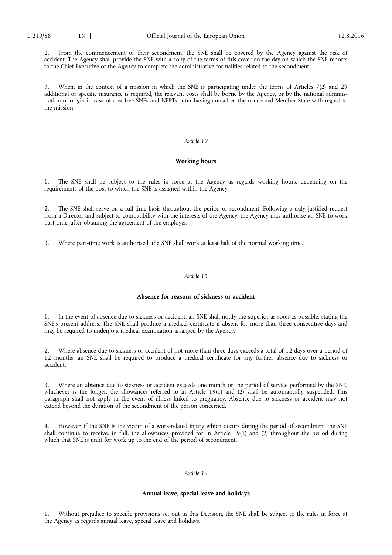2. From the commencement of their secondment, the SNE shall be covered by the Agency against the risk of accident. The Agency shall provide the SNE with a copy of the terms of this cover on the day on which the SNE reports to the Chief Executive of the Agency to complete the administrative formalities related to the secondment.

3. When, in the context of a mission in which the SNE is participating under the terms of Articles 7(2) and 29 additional or specific insurance is required, the relevant costs shall be borne by the Agency, or by the national administration of origin in case of cost-free SNEs and NEPTs, after having consulted the concerned Member State with regard to the mission.

# *Article 12*

### **Working hours**

1. The SNE shall be subject to the rules in force at the Agency as regards working hours, depending on the requirements of the post to which the SNE is assigned within the Agency.

2. The SNE shall serve on a full-time basis throughout the period of secondment. Following a duly justified request from a Director and subject to compatibility with the interests of the Agency, the Agency may authorise an SNE to work part-time, after obtaining the agreement of the employer.

3. Where part-time work is authorised, the SNE shall work at least half of the normal working time.

#### *Article 13*

## **Absence for reasons of sickness or accident**

In the event of absence due to sickness or accident, an SNE shall notify the superior as soon as possible, stating the SNE's present address. The SNE shall produce a medical certificate if absent for more than three consecutive days and may be required to undergo a medical examination arranged by the Agency.

2. Where absence due to sickness or accident of not more than three days exceeds a total of 12 days over a period of 12 months, an SNE shall be required to produce a medical certificate for any further absence due to sickness or accident.

Where an absence due to sickness or accident exceeds one month or the period of service performed by the SNE, whichever is the longer, the allowances referred to in Article 19(1) and (2) shall be automatically suspended. This paragraph shall not apply in the event of illness linked to pregnancy. Absence due to sickness or accident may not extend beyond the duration of the secondment of the person concerned.

4. However, if the SNE is the victim of a work-related injury which occurs during the period of secondment the SNE shall continue to receive, in full, the allowances provided for in Article 19(1) and (2) throughout the period during which that SNE is unfit for work up to the end of the period of secondment.

## *Article 14*

### **Annual leave, special leave and holidays**

Without prejudice to specific provisions set out in this Decision, the SNE shall be subject to the rules in force at the Agency as regards annual leave, special leave and holidays.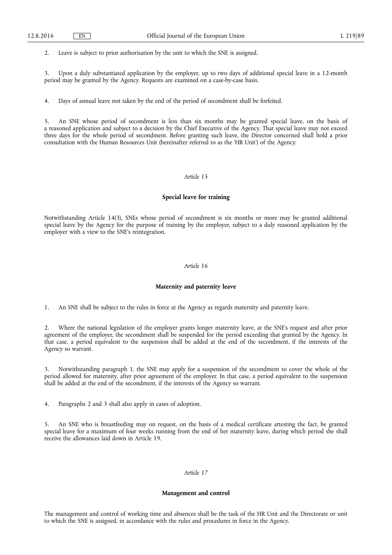2. Leave is subject to prior authorisation by the unit to which the SNE is assigned.

3. Upon a duly substantiated application by the employer, up to two days of additional special leave in a 12-month period may be granted by the Agency. Requests are examined on a case-by-case basis.

4. Days of annual leave not taken by the end of the period of secondment shall be forfeited.

5. An SNE whose period of secondment is less than six months may be granted special leave, on the basis of a reasoned application and subject to a decision by the Chief Executive of the Agency. That special leave may not exceed three days for the whole period of secondment. Before granting such leave, the Director concerned shall hold a prior consultation with the Human Resources Unit (hereinafter referred to as the 'HR Unit') of the Agency.

### *Article 15*

### **Special leave for training**

Notwithstanding Article 14(3), SNEs whose period of secondment is six months or more may be granted additional special leave by the Agency for the purpose of training by the employer, subject to a duly reasoned application by the employer with a view to the SNE's reintegration.

### *Article 16*

### **Maternity and paternity leave**

1. An SNE shall be subject to the rules in force at the Agency as regards maternity and paternity leave.

2. Where the national legislation of the employer grants longer maternity leave, at the SNE's request and after prior agreement of the employer, the secondment shall be suspended for the period exceeding that granted by the Agency. In that case, a period equivalent to the suspension shall be added at the end of the secondment, if the interests of the Agency so warrant.

3. Notwithstanding paragraph 1, the SNE may apply for a suspension of the secondment to cover the whole of the period allowed for maternity, after prior agreement of the employer. In that case, a period equivalent to the suspension shall be added at the end of the secondment, if the interests of the Agency so warrant.

4. Paragraphs 2 and 3 shall also apply in cases of adoption.

5. An SNE who is breastfeeding may on request, on the basis of a medical certificate attesting the fact, be granted special leave for a maximum of four weeks running from the end of her maternity leave, during which period she shall receive the allowances laid down in Article 19.

# *Article 17*

### **Management and control**

The management and control of working time and absences shall be the task of the HR Unit and the Directorate or unit to which the SNE is assigned, in accordance with the rules and procedures in force in the Agency.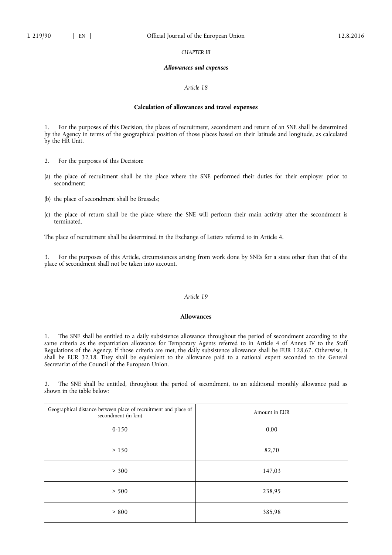*CHAPTER III* 

### *Allowances and expenses*

### *Article 18*

### **Calculation of allowances and travel expenses**

1. For the purposes of this Decision, the places of recruitment, secondment and return of an SNE shall be determined by the Agency in terms of the geographical position of those places based on their latitude and longitude, as calculated by the HR Unit.

- 2. For the purposes of this Decision:
- (a) the place of recruitment shall be the place where the SNE performed their duties for their employer prior to secondment;
- (b) the place of secondment shall be Brussels;
- (c) the place of return shall be the place where the SNE will perform their main activity after the secondment is terminated.

The place of recruitment shall be determined in the Exchange of Letters referred to in Article 4.

3. For the purposes of this Article, circumstances arising from work done by SNEs for a state other than that of the place of secondment shall not be taken into account.

## *Article 19*

### **Allowances**

1. The SNE shall be entitled to a daily subsistence allowance throughout the period of secondment according to the same criteria as the expatriation allowance for Temporary Agents referred to in Article 4 of Annex IV to the Staff Regulations of the Agency. If those criteria are met, the daily subsistence allowance shall be EUR 128,67. Otherwise, it shall be EUR 32,18. They shall be equivalent to the allowance paid to a national expert seconded to the General Secretariat of the Council of the European Union.

2. The SNE shall be entitled, throughout the period of secondment, to an additional monthly allowance paid as shown in the table below:

| Geographical distance between place of recruitment and place of<br>secondment (in km) | Amount in EUR |
|---------------------------------------------------------------------------------------|---------------|
| $0 - 150$                                                                             | 0,00          |
| > 150                                                                                 | 82,70         |
| > 300                                                                                 | 147,03        |
| > 500                                                                                 | 238,95        |
| > 800                                                                                 | 385,98        |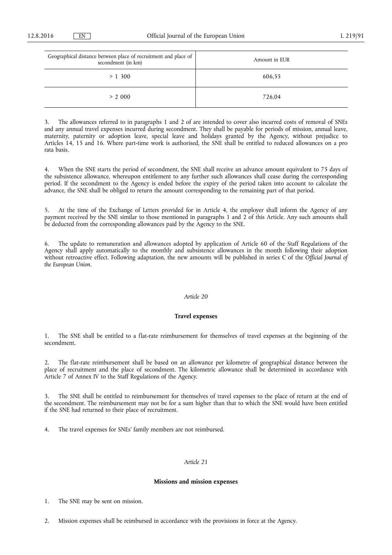| Geographical distance between place of recruitment and place of<br>secondment (in km) | Amount in EUR |
|---------------------------------------------------------------------------------------|---------------|
| > 1,300                                                                               | 606,55        |
| > 2000                                                                                | 726.04        |

3. The allowances referred to in paragraphs 1 and 2 of are intended to cover also incurred costs of removal of SNEs and any annual travel expenses incurred during secondment. They shall be payable for periods of mission, annual leave, maternity, paternity or adoption leave, special leave and holidays granted by the Agency, without prejudice to Articles 14, 15 and 16. Where part-time work is authorised, the SNE shall be entitled to reduced allowances on a pro rata basis.

When the SNE starts the period of secondment, the SNE shall receive an advance amount equivalent to 75 days of the subsistence allowance, whereupon entitlement to any further such allowances shall cease during the corresponding period. If the secondment to the Agency is ended before the expiry of the period taken into account to calculate the advance, the SNE shall be obliged to return the amount corresponding to the remaining part of that period.

5. At the time of the Exchange of Letters provided for in Article 4, the employer shall inform the Agency of any payment received by the SNE similar to those mentioned in paragraphs 1 and 2 of this Article. Any such amounts shall be deducted from the corresponding allowances paid by the Agency to the SNE.

6. The update to remuneration and allowances adopted by application of Article 60 of the Staff Regulations of the Agency shall apply automatically to the monthly and subsistence allowances in the month following their adoption without retroactive effect. Following adaptation, the new amounts will be published in series C of the *Official Journal of the European Union*.

#### *Article 20*

## **Travel expenses**

1. The SNE shall be entitled to a flat-rate reimbursement for themselves of travel expenses at the beginning of the secondment.

2. The flat-rate reimbursement shall be based on an allowance per kilometre of geographical distance between the place of recruitment and the place of secondment. The kilometric allowance shall be determined in accordance with Article 7 of Annex IV to the Staff Regulations of the Agency.

3. The SNE shall be entitled to reimbursement for themselves of travel expenses to the place of return at the end of the secondment. The reimbursement may not be for a sum higher than that to which the SNE would have been entitled if the SNE had returned to their place of recruitment.

4. The travel expenses for SNEs' family members are not reimbursed.

## *Article 21*

#### **Missions and mission expenses**

1. The SNE may be sent on mission.

2. Mission expenses shall be reimbursed in accordance with the provisions in force at the Agency.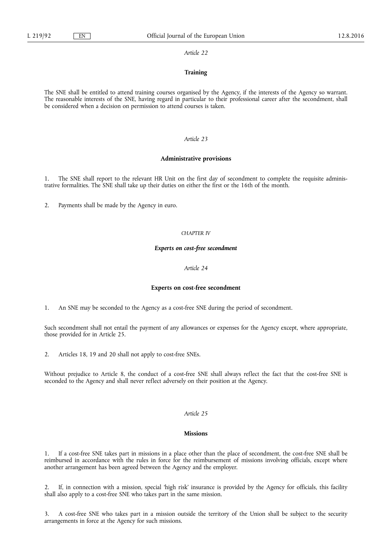### **Training**

The SNE shall be entitled to attend training courses organised by the Agency, if the interests of the Agency so warrant. The reasonable interests of the SNE, having regard in particular to their professional career after the secondment, shall be considered when a decision on permission to attend courses is taken.

## *Article 23*

### **Administrative provisions**

1. The SNE shall report to the relevant HR Unit on the first day of secondment to complete the requisite administrative formalities. The SNE shall take up their duties on either the first or the 16th of the month.

2. Payments shall be made by the Agency in euro.

## *CHAPTER IV*

# *Experts on cost-free secondment*

#### *Article 24*

#### **Experts on cost-free secondment**

1. An SNE may be seconded to the Agency as a cost-free SNE during the period of secondment.

Such secondment shall not entail the payment of any allowances or expenses for the Agency except, where appropriate, those provided for in Article 25.

2. Articles 18, 19 and 20 shall not apply to cost-free SNEs.

Without prejudice to Article 8, the conduct of a cost-free SNE shall always reflect the fact that the cost-free SNE is seconded to the Agency and shall never reflect adversely on their position at the Agency.

### *Article 25*

#### **Missions**

1. If a cost-free SNE takes part in missions in a place other than the place of secondment, the cost-free SNE shall be reimbursed in accordance with the rules in force for the reimbursement of missions involving officials, except where another arrangement has been agreed between the Agency and the employer.

2. If, in connection with a mission, special 'high risk' insurance is provided by the Agency for officials, this facility shall also apply to a cost-free SNE who takes part in the same mission.

3. A cost-free SNE who takes part in a mission outside the territory of the Union shall be subject to the security arrangements in force at the Agency for such missions.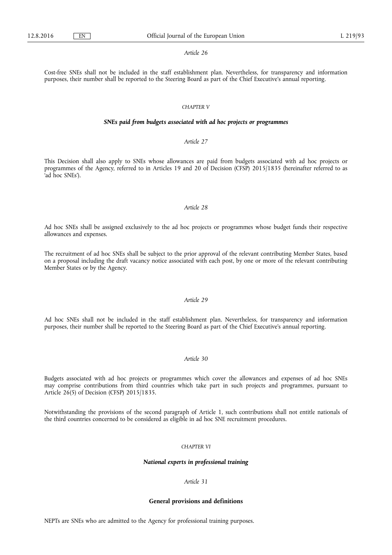Cost-free SNEs shall not be included in the staff establishment plan. Nevertheless, for transparency and information purposes, their number shall be reported to the Steering Board as part of the Chief Executive's annual reporting.

### *CHAPTER V*

### *SNEs paid from budgets associated with ad hoc projects or programmes*

# *Article 27*

This Decision shall also apply to SNEs whose allowances are paid from budgets associated with ad hoc projects or programmes of the Agency, referred to in Articles 19 and 20 of Decision (CFSP) 2015/1835 (hereinafter referred to as 'ad hoc SNEs').

### *Article 28*

Ad hoc SNEs shall be assigned exclusively to the ad hoc projects or programmes whose budget funds their respective allowances and expenses.

The recruitment of ad hoc SNEs shall be subject to the prior approval of the relevant contributing Member States, based on a proposal including the draft vacancy notice associated with each post, by one or more of the relevant contributing Member States or by the Agency.

# *Article 29*

Ad hoc SNEs shall not be included in the staff establishment plan. Nevertheless, for transparency and information purposes, their number shall be reported to the Steering Board as part of the Chief Executive's annual reporting.

# *Article 30*

Budgets associated with ad hoc projects or programmes which cover the allowances and expenses of ad hoc SNEs may comprise contributions from third countries which take part in such projects and programmes, pursuant to Article  $26(5)$  of Decision (CFSP) 2015/1835.

Notwithstanding the provisions of the second paragraph of Article 1, such contributions shall not entitle nationals of the third countries concerned to be considered as eligible in ad hoc SNE recruitment procedures.

### *CHAPTER VI*

#### *National experts in professional training*

*Article 31* 

### **General provisions and definitions**

NEPTs are SNEs who are admitted to the Agency for professional training purposes.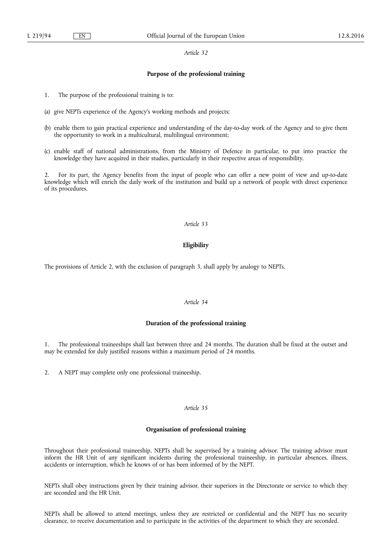#### **Purpose of the professional training**

- 1. The purpose of the professional training is to:
- (a) give NEPTs experience of the Agency's working methods and projects;
- (b) enable them to gain practical experience and understanding of the day-to-day work of the Agency and to give them the opportunity to work in a multicultural, multilingual environment;
- (c) enable staff of national administrations, from the Ministry of Defence in particular, to put into practice the knowledge they have acquired in their studies, particularly in their respective areas of responsibility.

2. For its part, the Agency benefits from the input of people who can offer a new point of view and up-to-date knowledge which will enrich the daily work of the institution and build up a network of people with direct experience of its procedures.

### *Article 33*

## **Eligibility**

The provisions of Article 2, with the exclusion of paragraph 3, shall apply by analogy to NEPTs.

# *Article 34*

### **Duration of the professional training**

1. The professional traineeships shall last between three and 24 months. The duration shall be fixed at the outset and may be extended for duly justified reasons within a maximum period of 24 months.

2. A NEPT may complete only one professional traineeship.

### *Article 35*

## **Organisation of professional training**

Throughout their professional traineeship, NEPTs shall be supervised by a training advisor. The training advisor must inform the HR Unit of any significant incidents during the professional traineeship, in particular absences, illness, accidents or interruption, which he knows of or has been informed of by the NEPT.

NEPTs shall obey instructions given by their training advisor, their superiors in the Directorate or service to which they are seconded and the HR Unit.

NEPTs shall be allowed to attend meetings, unless they are restricted or confidential and the NEPT has no security clearance, to receive documentation and to participate in the activities of the department to which they are seconded.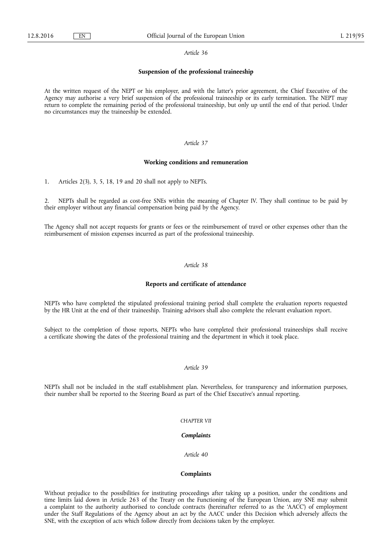### **Suspension of the professional traineeship**

At the written request of the NEPT or his employer, and with the latter's prior agreement, the Chief Executive of the Agency may authorise a very brief suspension of the professional traineeship or its early termination. The NEPT may return to complete the remaining period of the professional traineeship, but only up until the end of that period. Under no circumstances may the traineeship be extended.

# *Article 37*

#### **Working conditions and remuneration**

1. Articles 2(3), 3, 5, 18, 19 and 20 shall not apply to NEPTs.

2. NEPTs shall be regarded as cost-free SNEs within the meaning of Chapter IV. They shall continue to be paid by their employer without any financial compensation being paid by the Agency.

The Agency shall not accept requests for grants or fees or the reimbursement of travel or other expenses other than the reimbursement of mission expenses incurred as part of the professional traineeship.

# *Article 38*

## **Reports and certificate of attendance**

NEPTs who have completed the stipulated professional training period shall complete the evaluation reports requested by the HR Unit at the end of their traineeship. Training advisors shall also complete the relevant evaluation report.

Subject to the completion of those reports, NEPTs who have completed their professional traineeships shall receive a certificate showing the dates of the professional training and the department in which it took place.

### *Article 39*

NEPTs shall not be included in the staff establishment plan. Nevertheless, for transparency and information purposes, their number shall be reported to the Steering Board as part of the Chief Executive's annual reporting.

### *CHAPTER VII*

### *Complaints*

*Article 40* 

### **Complaints**

Without prejudice to the possibilities for instituting proceedings after taking up a position, under the conditions and time limits laid down in Article 263 of the Treaty on the Functioning of the European Union, any SNE may submit a complaint to the authority authorised to conclude contracts (hereinafter referred to as the 'AACC') of employment under the Staff Regulations of the Agency about an act by the AACC under this Decision which adversely affects the SNE, with the exception of acts which follow directly from decisions taken by the employer.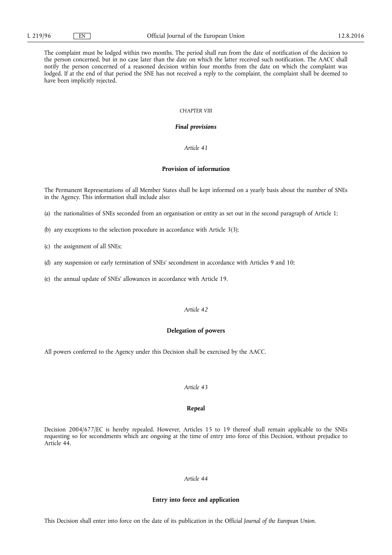The complaint must be lodged within two months. The period shall run from the date of notification of the decision to the person concerned, but in no case later than the date on which the latter received such notification. The AACC shall notify the person concerned of a reasoned decision within four months from the date on which the complaint was lodged. If at the end of that period the SNE has not received a reply to the complaint, the complaint shall be deemed to have been implicitly rejected.

### *CHAPTER VIII*

### *Final provisions*

### *Article 41*

# **Provision of information**

The Permanent Representations of all Member States shall be kept informed on a yearly basis about the number of SNEs in the Agency. This information shall include also:

(a) the nationalities of SNEs seconded from an organisation or entity as set out in the second paragraph of Article 1;

- (b) any exceptions to the selection procedure in accordance with Article 3(3);
- (c) the assignment of all SNEs;
- (d) any suspension or early termination of SNEs' secondment in accordance with Articles 9 and 10;
- (e) the annual update of SNEs' allowances in accordance with Article 19.

# *Article 42*

#### **Delegation of powers**

All powers conferred to the Agency under this Decision shall be exercised by the AACC.

# *Article 43*

## **Repeal**

Decision 2004/677/EC is hereby repealed. However, Articles 15 to 19 thereof shall remain applicable to the SNEs requesting so for secondments which are ongoing at the time of entry into force of this Decision, without prejudice to Article 44.

### *Article 44*

### **Entry into force and application**

This Decision shall enter into force on the date of its publication in the Off*icial Journal of the European Union*.